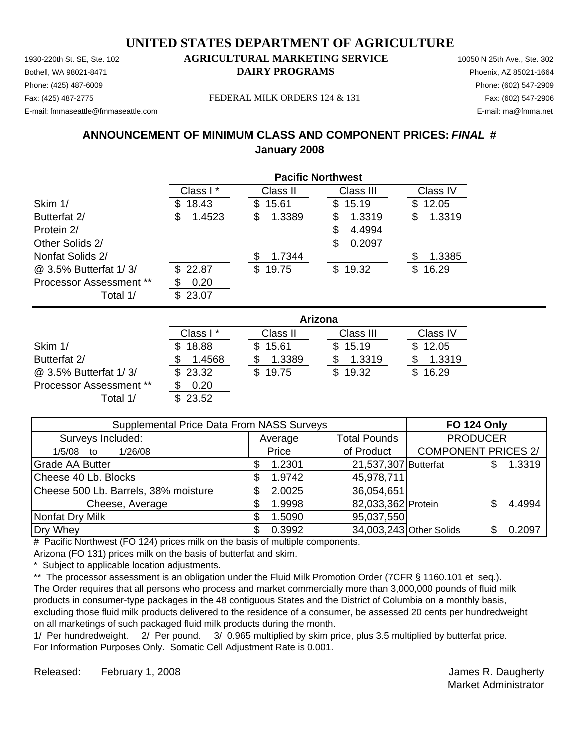Phone: (425) 487-6009 Phone: (602) 547-2909 E-mail: fmmaseattle@fmmaseattle.com E-mail: ma@fmma.net

#### 1930-220th St. SE, Ste. 102 **AGRICULTURAL MARKETING SERVICE** 10050 N 25th Ave., Ste. 302 Bothell, WA 98021-8471 **DAIRY PROGRAMS** Phoenix, AZ 85021-1664

Fax: (425) 487-2775 FEDERAL MILK ORDERS 124 & 131 Fax: (602) 547-2906

#### **ANNOUNCEMENT OF MINIMUM CLASS AND COMPONENT PRICES:** *FINAL* **# January 2008**

|                                | <b>Pacific Northwest</b> |              |             |              |  |  |
|--------------------------------|--------------------------|--------------|-------------|--------------|--|--|
|                                | Class I*                 | Class II     | Class III   | Class IV     |  |  |
| Skim 1/                        | 18.43<br>S.              | 15.61<br>\$  | 15.19<br>\$ | 12.05<br>\$. |  |  |
| Butterfat 2/                   | 1.4523<br>\$             | 1.3389<br>\$ | 1.3319<br>S | 1.3319<br>S  |  |  |
| Protein 2/                     |                          |              | 4.4994<br>S |              |  |  |
| Other Solids 2/                |                          |              | 0.2097<br>S |              |  |  |
| Nonfat Solids 2/               |                          | 1.7344<br>S  |             | 1.3385<br>S  |  |  |
| @ 3.5% Butterfat 1/3/          | 22.87<br>\$.             | 19.75<br>\$  | \$19.32     | 16.29<br>S   |  |  |
| <b>Processor Assessment **</b> | 0.20                     |              |             |              |  |  |
| Total 1/                       | 23.07<br>\$.             |              |             |              |  |  |

|                                |          | Arizona      |           |              |  |  |  |
|--------------------------------|----------|--------------|-----------|--------------|--|--|--|
|                                | Class I* | Class II     | Class III | Class IV     |  |  |  |
| Skim 1/                        | \$18.88  | \$15.61      | \$15.19   | \$12.05      |  |  |  |
| Butterfat 2/                   | 1.4568   | 1.3389       | 1.3319    | 1.3319       |  |  |  |
| @ 3.5% Butterfat 1/3/          | \$23.32  | 19.75<br>\$. | \$19.32   | 16.29<br>\$. |  |  |  |
| <b>Processor Assessment **</b> | 0.20     |              |           |              |  |  |  |
| Total 1/                       | \$23.52  |              |           |              |  |  |  |

| Supplemental Price Data From NASS Surveys | <b>FO 124 Only</b> |                      |                            |  |        |
|-------------------------------------------|--------------------|----------------------|----------------------------|--|--------|
| Surveys Included:                         | Average            | <b>Total Pounds</b>  | <b>PRODUCER</b>            |  |        |
| 1/26/08<br>$1/5/08$ to                    | Price              | of Product           | <b>COMPONENT PRICES 2/</b> |  |        |
| <b>Grade AA Butter</b>                    | 1.2301             | 21,537,307 Butterfat |                            |  | 1.3319 |
| Cheese 40 Lb. Blocks                      | 1.9742             | 45,978,711           |                            |  |        |
| Cheese 500 Lb. Barrels, 38% moisture      | 2.0025             | 36,054,651           |                            |  |        |
| Cheese, Average                           | 1.9998             | 82,033,362 Protein   |                            |  | 4.4994 |
| Nonfat Dry Milk                           | 1.5090             | 95,037,550           |                            |  |        |
| Dry Whey                                  | 0.3992             |                      | 34,003,243 Other Solids    |  | 0.2097 |

# Pacific Northwest (FO 124) prices milk on the basis of multiple components. Arizona (FO 131) prices milk on the basis of butterfat and skim.

\* Subject to applicable location adjustments.

\*\* The processor assessment is an obligation under the Fluid Milk Promotion Order (7CFR § 1160.101 et seq.). The Order requires that all persons who process and market commercially more than 3,000,000 pounds of fluid milk products in consumer-type packages in the 48 contiguous States and the District of Columbia on a monthly basis, excluding those fluid milk products delivered to the residence of a consumer, be assessed 20 cents per hundredweight on all marketings of such packaged fluid milk products during the month.

1/ Per hundredweight. 2/ Per pound. 3/ 0.965 multiplied by skim price, plus 3.5 multiplied by butterfat price. For Information Purposes Only. Somatic Cell Adjustment Rate is 0.001.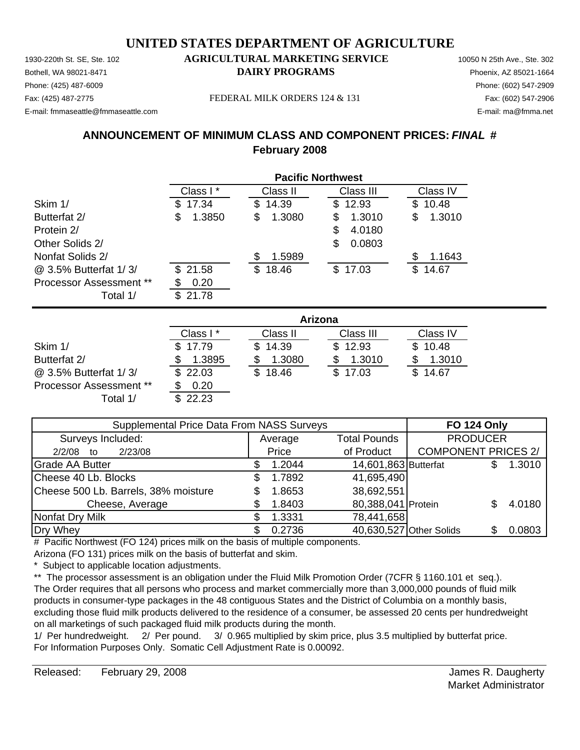Phone: (425) 487-6009 Phone: (602) 547-2909 E-mail: fmmaseattle@fmmaseattle.com E-mail: ma@fmma.net

#### 1930-220th St. SE, Ste. 102 **AGRICULTURAL MARKETING SERVICE** 10050 N 25th Ave., Ste. 302 Bothell, WA 98021-8471 **DAIRY PROGRAMS** Phoenix, AZ 85021-1664

Fax: (425) 487-2775 Fax: (602) 547-2906 FEDERAL MILK ORDERS 124 & 131

#### **ANNOUNCEMENT OF MINIMUM CLASS AND COMPONENT PRICES:** *FINAL* **# February 2008**

|                                | <b>Pacific Northwest</b> |             |             |              |  |  |
|--------------------------------|--------------------------|-------------|-------------|--------------|--|--|
|                                | Class I*                 | Class II    | Class III   | Class IV     |  |  |
| Skim 1/                        | 17.34<br>S               | 14.39<br>\$ | \$12.93     | 10.48<br>\$. |  |  |
| Butterfat 2/                   | 1.3850<br>S              | 1.3080<br>S | 1.3010<br>S | S<br>1.3010  |  |  |
| Protein 2/                     |                          |             | 4.0180<br>S |              |  |  |
| Other Solids 2/                |                          |             | 0.0803<br>S |              |  |  |
| Nonfat Solids 2/               |                          | 1.5989      |             | 1.1643<br>S  |  |  |
| @ 3.5% Butterfat 1/3/          | 21.58<br>\$.             | \$18.46     | \$17.03     | 14.67<br>\$  |  |  |
| <b>Processor Assessment **</b> | 0.20                     |             |             |              |  |  |
| Total 1/                       | 21.78<br>\$.             |             |             |              |  |  |

|                                |          | Arizona  |           |          |  |  |  |
|--------------------------------|----------|----------|-----------|----------|--|--|--|
|                                | Class I* | Class II | Class III | Class IV |  |  |  |
| Skim 1/                        | \$17.79  | \$14.39  | \$12.93   | \$10.48  |  |  |  |
| Butterfat 2/                   | 1.3895   | 1.3080   | 1.3010    | 1.3010   |  |  |  |
| @ 3.5% Butterfat 1/3/          | \$22.03  | \$18.46  | \$17.03   | \$14.67  |  |  |  |
| <b>Processor Assessment **</b> | 0.20     |          |           |          |  |  |  |
| Total 1/                       | \$22.23  |          |           |          |  |  |  |

| Supplemental Price Data From NASS Surveys | <b>FO 124 Only</b> |                         |                            |  |        |
|-------------------------------------------|--------------------|-------------------------|----------------------------|--|--------|
| Surveys Included:                         | Average            | <b>Total Pounds</b>     | <b>PRODUCER</b>            |  |        |
| 2/23/08<br>2/2/08<br>to                   | Price              | of Product              | <b>COMPONENT PRICES 2/</b> |  |        |
| <b>Grade AA Butter</b>                    | 1.2044             | 14,601,863 Butterfat    |                            |  | 1.3010 |
| Cheese 40 Lb. Blocks                      | 1.7892             | 41,695,490              |                            |  |        |
| Cheese 500 Lb. Barrels, 38% moisture      | 1.8653             | 38,692,551              |                            |  |        |
| Cheese, Average                           | 1.8403             | 80,388,041 Protein      |                            |  | 4.0180 |
| Nonfat Dry Milk                           | 1.3331             | 78,441,658              |                            |  |        |
| Dry Whey                                  | 0.2736             | 40,630,527 Other Solids |                            |  | 0.0803 |

# Pacific Northwest (FO 124) prices milk on the basis of multiple components. Arizona (FO 131) prices milk on the basis of butterfat and skim.

\* Subject to applicable location adjustments.

\*\* The processor assessment is an obligation under the Fluid Milk Promotion Order (7CFR § 1160.101 et seq.). The Order requires that all persons who process and market commercially more than 3,000,000 pounds of fluid milk products in consumer-type packages in the 48 contiguous States and the District of Columbia on a monthly basis, excluding those fluid milk products delivered to the residence of a consumer, be assessed 20 cents per hundredweight on all marketings of such packaged fluid milk products during the month.

1/ Per hundredweight. 2/ Per pound. 3/ 0.965 multiplied by skim price, plus 3.5 multiplied by butterfat price. For Information Purposes Only. Somatic Cell Adjustment Rate is 0.00092.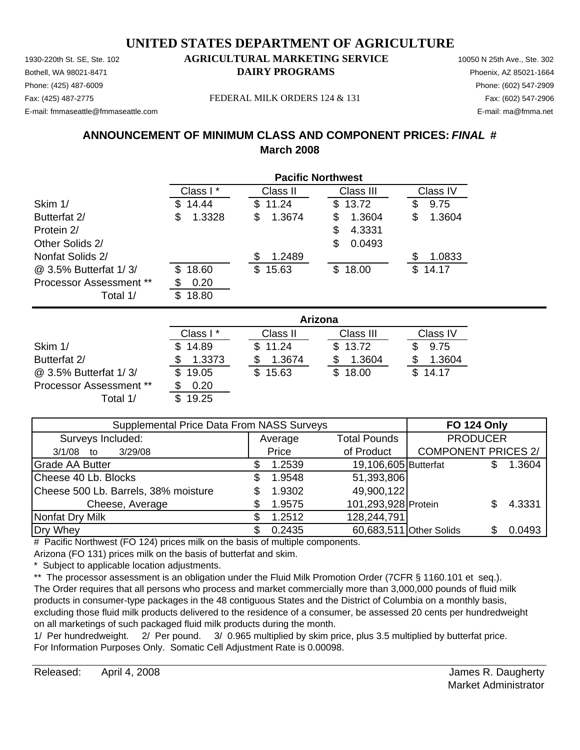Phone: (425) 487-6009 Phone: (602) 547-2909 E-mail: fmmaseattle@fmmaseattle.com E-mail: ma@fmma.net

#### 1930-220th St. SE, Ste. 102 **AGRICULTURAL MARKETING SERVICE** 10050 N 25th Ave., Ste. 302 Bothell, WA 98021-8471 **DAIRY PROGRAMS** Phoenix, AZ 85021-1664

Fax: (425) 487-2775 FEDERAL MILK ORDERS 124 & 131 Fax: (602) 547-2906

#### **ANNOUNCEMENT OF MINIMUM CLASS AND COMPONENT PRICES:** *FINAL* **# March 2008**

|                                | <b>Pacific Northwest</b> |             |             |              |  |
|--------------------------------|--------------------------|-------------|-------------|--------------|--|
|                                | Class I*                 | Class II    | Class III   | Class IV     |  |
| Skim 1/                        | 14.44<br>S               | 11.24<br>\$ | 13.72<br>\$ | 9.75<br>\$   |  |
| Butterfat 2/                   | 1.3328<br>S              | 1.3674<br>S | 1.3604<br>S | \$<br>1.3604 |  |
| Protein 2/                     |                          |             | 4.3331<br>S |              |  |
| Other Solids 2/                |                          |             | 0.0493<br>S |              |  |
| Nonfat Solids 2/               |                          | 1.2489      |             | 1.0833<br>S  |  |
| @ 3.5% Butterfat 1/3/          | 18.60<br>S               | \$15.63     | 18.00<br>S. | \$<br>14.17  |  |
| <b>Processor Assessment **</b> | 0.20                     |             |             |              |  |
| Total 1/                       | 18.80<br>\$.             |             |             |              |  |

|                         | Arizona   |              |           |          |  |  |
|-------------------------|-----------|--------------|-----------|----------|--|--|
|                         | Class I * | Class II     | Class III | Class IV |  |  |
| Skim 1/                 | \$14.89   | \$11.24      | \$13.72   | 9.75     |  |  |
| Butterfat 2/            | 1.3373    | 1.3674       | 1.3604    | 1.3604   |  |  |
| @ 3.5% Butterfat 1/3/   | \$19.05   | 15.63<br>\$. | \$18.00   | \$14.17  |  |  |
| Processor Assessment ** | 0.20      |              |           |          |  |  |
| Total 1/                | 19.25     |              |           |          |  |  |

| Supplemental Price Data From NASS Surveys | <b>FO 124 Only</b> |                      |                            |  |        |
|-------------------------------------------|--------------------|----------------------|----------------------------|--|--------|
| Surveys Included:                         | Average            | <b>Total Pounds</b>  | <b>PRODUCER</b>            |  |        |
| 3/29/08<br>$3/1/08$ to                    | Price              | of Product           | <b>COMPONENT PRICES 2/</b> |  |        |
| <b>Grade AA Butter</b>                    | 1.2539             | 19,106,605 Butterfat |                            |  | 1.3604 |
| Cheese 40 Lb. Blocks                      | 1.9548             | 51,393,806           |                            |  |        |
| Cheese 500 Lb. Barrels, 38% moisture      | 1.9302             | 49,900,122           |                            |  |        |
| Cheese, Average                           | 1.9575             | 101,293,928 Protein  |                            |  | 4.3331 |
| Nonfat Dry Milk                           | 1.2512             | 128,244,791          |                            |  |        |
| Dry Whey                                  | 0.2435             |                      | 60,683,511 Other Solids    |  | 0.0493 |

# Pacific Northwest (FO 124) prices milk on the basis of multiple components. Arizona (FO 131) prices milk on the basis of butterfat and skim.

\* Subject to applicable location adjustments.

\*\* The processor assessment is an obligation under the Fluid Milk Promotion Order (7CFR § 1160.101 et seq.). The Order requires that all persons who process and market commercially more than 3,000,000 pounds of fluid milk products in consumer-type packages in the 48 contiguous States and the District of Columbia on a monthly basis, excluding those fluid milk products delivered to the residence of a consumer, be assessed 20 cents per hundredweight on all marketings of such packaged fluid milk products during the month.

1/ Per hundredweight. 2/ Per pound. 3/ 0.965 multiplied by skim price, plus 3.5 multiplied by butterfat price. For Information Purposes Only. Somatic Cell Adjustment Rate is 0.00098.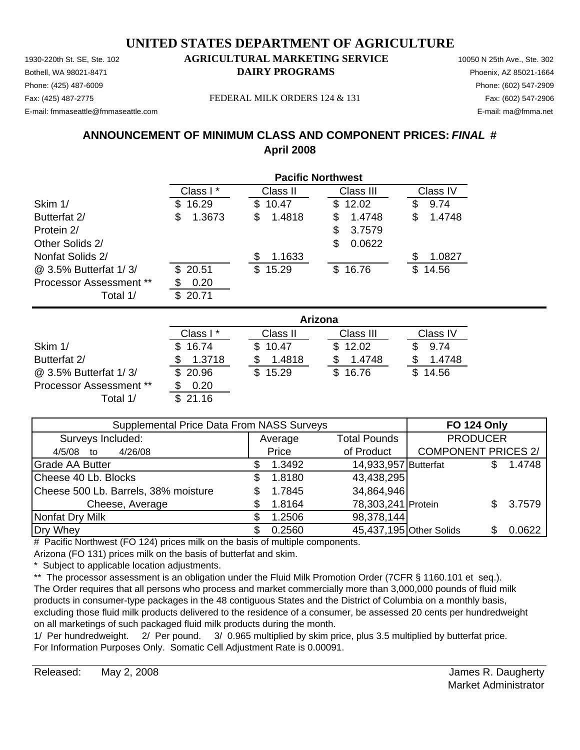Phone: (425) 487-6009 Phone: (602) 547-2909 E-mail: fmmaseattle@fmmaseattle.com E-mail: ma@fmma.net

#### 1930-220th St. SE, Ste. 102 **AGRICULTURAL MARKETING SERVICE** 10050 N 25th Ave., Ste. 302 Bothell, WA 98021-8471 **DAIRY PROGRAMS** Phoenix, AZ 85021-1664

Fax: (425) 487-2775 FEDERAL MILK ORDERS 124 & 131 Fax: (602) 547-2906

#### **ANNOUNCEMENT OF MINIMUM CLASS AND COMPONENT PRICES:** *FINAL* **# April 2008**

|                                | <b>Pacific Northwest</b> |             |              |             |  |  |
|--------------------------------|--------------------------|-------------|--------------|-------------|--|--|
|                                | Class I*                 | Class II    | Class III    | Class IV    |  |  |
| Skim 1/                        | 16.29<br>S               | 10.47<br>S  | 12.02<br>\$. | 9.74<br>\$  |  |  |
| Butterfat 2/                   | \$<br>1.3673             | 1.4818<br>S | 1.4748<br>S  | 1.4748<br>S |  |  |
| Protein 2/                     |                          |             | 3.7579<br>S  |             |  |  |
| Other Solids 2/                |                          |             | 0.0622<br>S  |             |  |  |
| Nonfat Solids 2/               |                          | 1.1633<br>S |              | 1.0827<br>S |  |  |
| @ 3.5% Butterfat 1/3/          | \$20.51                  | \$15.29     | \$16.76      | 14.56<br>S  |  |  |
| <b>Processor Assessment **</b> | 0.20                     |             |              |             |  |  |
| Total 1/                       | 20.71<br>ß.              |             |              |             |  |  |

|                                |          | Arizona  |           |          |  |  |  |
|--------------------------------|----------|----------|-----------|----------|--|--|--|
|                                | Class I* | Class II | Class III | Class IV |  |  |  |
| Skim 1/                        | \$16.74  | \$10.47  | \$12.02   | 9.74     |  |  |  |
| Butterfat 2/                   | 1.3718   | 1.4818   | 1.4748    | 1.4748   |  |  |  |
| @ 3.5% Butterfat 1/3/          | \$20.96  | \$15.29  | \$16.76   | \$14.56  |  |  |  |
| <b>Processor Assessment **</b> | 0.20     |          |           |          |  |  |  |
| Total 1/                       | \$21.16  |          |           |          |  |  |  |

| Supplemental Price Data From NASS Surveys | <b>FO 124 Only</b> |                         |                            |     |        |
|-------------------------------------------|--------------------|-------------------------|----------------------------|-----|--------|
| Surveys Included:                         | Average            | <b>Total Pounds</b>     | <b>PRODUCER</b>            |     |        |
| 4/26/08<br>4/5/08 to                      | Price              | of Product              | <b>COMPONENT PRICES 2/</b> |     |        |
| <b>Grade AA Butter</b>                    | 1.3492             | 14,933,957 Butterfat    |                            |     | 1.4748 |
| Cheese 40 Lb. Blocks                      | 1.8180             | 43,438,295              |                            |     |        |
| Cheese 500 Lb. Barrels, 38% moisture      | 1.7845             | 34,864,946              |                            |     |        |
| Cheese, Average                           | 1.8164             | 78,303,241 Protein      |                            | SS. | 3.7579 |
| Nonfat Dry Milk                           | 1.2506             | 98,378,144              |                            |     |        |
| Dry Whey                                  | 0.2560             | 45,437,195 Other Solids |                            |     | 0.0622 |

# Pacific Northwest (FO 124) prices milk on the basis of multiple components. Arizona (FO 131) prices milk on the basis of butterfat and skim.

\* Subject to applicable location adjustments.

\*\* The processor assessment is an obligation under the Fluid Milk Promotion Order (7CFR § 1160.101 et seq.). The Order requires that all persons who process and market commercially more than 3,000,000 pounds of fluid milk products in consumer-type packages in the 48 contiguous States and the District of Columbia on a monthly basis, excluding those fluid milk products delivered to the residence of a consumer, be assessed 20 cents per hundredweight on all marketings of such packaged fluid milk products during the month.

1/ Per hundredweight. 2/ Per pound. 3/ 0.965 multiplied by skim price, plus 3.5 multiplied by butterfat price. For Information Purposes Only. Somatic Cell Adjustment Rate is 0.00091.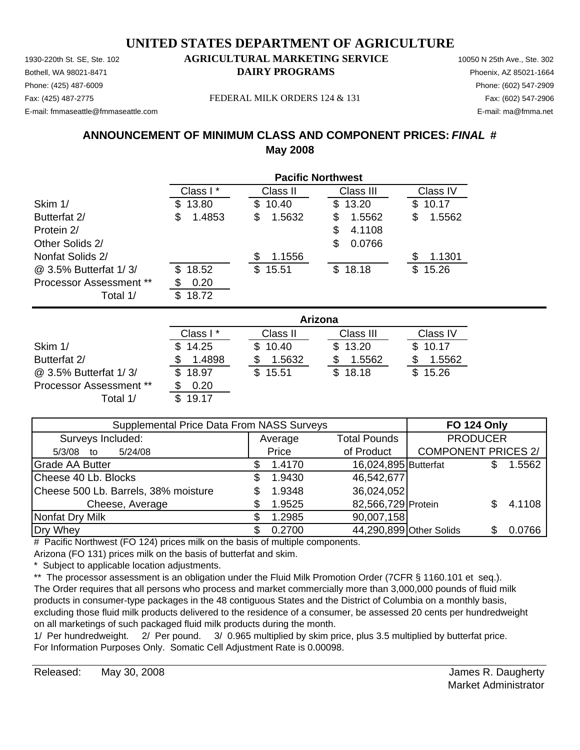Phone: (425) 487-6009 Phone: (602) 547-2909 E-mail: fmmaseattle@fmmaseattle.com E-mail: ma@fmma.net

#### 1930-220th St. SE, Ste. 102 **AGRICULTURAL MARKETING SERVICE** 10050 N 25th Ave., Ste. 302 Bothell, WA 98021-8471 **DAIRY PROGRAMS** Phoenix, AZ 85021-1664

Fax: (425) 487-2775 FEDERAL MILK ORDERS 124 & 131 Fax: (602) 547-2906

#### **ANNOUNCEMENT OF MINIMUM CLASS AND COMPONENT PRICES:** *FINAL* **# May 2008**

|                                | <b>Pacific Northwest</b> |             |             |              |  |  |
|--------------------------------|--------------------------|-------------|-------------|--------------|--|--|
|                                | Class I*                 | Class II    | Class III   | Class IV     |  |  |
| Skim 1/                        | 13.80<br>S               | 10.40<br>S. | 13.20<br>\$ | 10.17<br>\$. |  |  |
| Butterfat 2/                   | 1.4853<br>\$             | 1.5632<br>S | 1.5562<br>S | 1.5562<br>S  |  |  |
| Protein 2/                     |                          |             | 4.1108<br>S |              |  |  |
| Other Solids 2/                |                          |             | 0.0766<br>S |              |  |  |
| Nonfat Solids 2/               |                          | 1.1556<br>S |             | 1.1301<br>S  |  |  |
| @ 3.5% Butterfat 1/3/          | 18.52<br>\$.             | 15.51<br>\$ | 18.18<br>\$ | 15.26<br>\$. |  |  |
| <b>Processor Assessment **</b> | 0.20                     |             |             |              |  |  |
| Total 1/                       | 18.72<br>\$.             |             |             |              |  |  |

|                         | Arizona   |              |           |          |  |  |
|-------------------------|-----------|--------------|-----------|----------|--|--|
|                         | Class I * | Class II     | Class III | Class IV |  |  |
| Skim 1/                 | \$14.25   | \$10.40      | \$13.20   | \$10.17  |  |  |
| Butterfat 2/            | 1.4898    | 1.5632       | 1.5562    | 1.5562   |  |  |
| @ 3.5% Butterfat 1/3/   | \$18.97   | 15.51<br>\$. | \$18.18   | \$15.26  |  |  |
| Processor Assessment ** | 0.20      |              |           |          |  |  |
| Total 1/                | 19.17     |              |           |          |  |  |

| Supplemental Price Data From NASS Surveys | <b>FO 124 Only</b> |                         |                            |        |
|-------------------------------------------|--------------------|-------------------------|----------------------------|--------|
| Surveys Included:                         | Average            | <b>Total Pounds</b>     | <b>PRODUCER</b>            |        |
| 5/24/08<br>$5/3/08$ to                    | Price              | of Product              | <b>COMPONENT PRICES 2/</b> |        |
| <b>Grade AA Butter</b>                    | 1.4170             | 16,024,895 Butterfat    |                            | 1.5562 |
| Cheese 40 Lb. Blocks                      | 1.9430             | 46,542,677              |                            |        |
| Cheese 500 Lb. Barrels, 38% moisture      | 1.9348             | 36,024,052              |                            |        |
| Cheese, Average                           | 1.9525             | 82,566,729 Protein      |                            | 4.1108 |
| Nonfat Dry Milk                           | 1.2985             | 90,007,158              |                            |        |
| Dry Whey                                  | 0.2700             | 44,290,899 Other Solids |                            | 0.0766 |

# Pacific Northwest (FO 124) prices milk on the basis of multiple components. Arizona (FO 131) prices milk on the basis of butterfat and skim.

\* Subject to applicable location adjustments.

\*\* The processor assessment is an obligation under the Fluid Milk Promotion Order (7CFR § 1160.101 et seq.). The Order requires that all persons who process and market commercially more than 3,000,000 pounds of fluid milk products in consumer-type packages in the 48 contiguous States and the District of Columbia on a monthly basis, excluding those fluid milk products delivered to the residence of a consumer, be assessed 20 cents per hundredweight on all marketings of such packaged fluid milk products during the month.

1/ Per hundredweight. 2/ Per pound. 3/ 0.965 multiplied by skim price, plus 3.5 multiplied by butterfat price. For Information Purposes Only. Somatic Cell Adjustment Rate is 0.00098.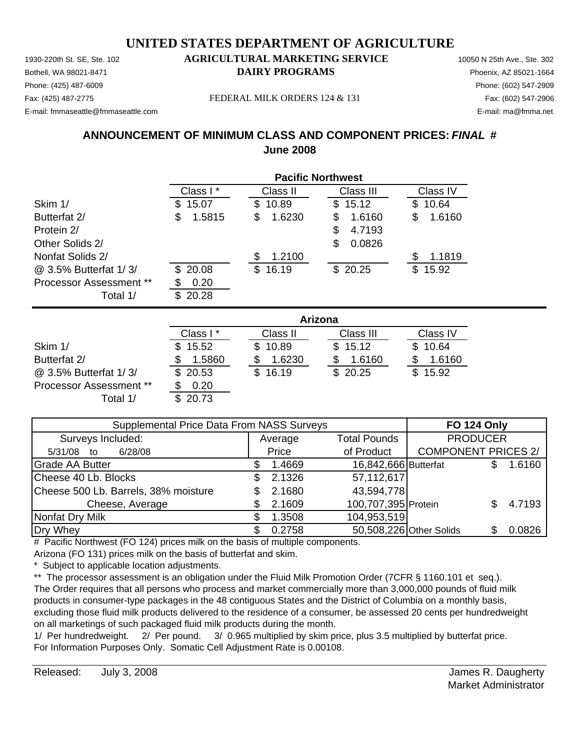Phone: (425) 487-6009 Phone: (602) 547-2909 E-mail: fmmaseattle@fmmaseattle.com E-mail: ma@fmma.net

#### 1930-220th St. SE, Ste. 102 **AGRICULTURAL MARKETING SERVICE** 10050 N 25th Ave., Ste. 302 Bothell, WA 98021-8471 **DAIRY PROGRAMS** Phoenix, AZ 85021-1664

Fax: (425) 487-2775 FEDERAL MILK ORDERS 124 & 131 Fax: (602) 547-2906

#### **ANNOUNCEMENT OF MINIMUM CLASS AND COMPONENT PRICES:** *FINAL* **# June 2008**

|                         | <b>Pacific Northwest</b> |              |             |              |  |  |
|-------------------------|--------------------------|--------------|-------------|--------------|--|--|
|                         | Class I*                 | Class II     | Class III   | Class IV     |  |  |
| Skim 1/                 | 15.07<br>S               | 10.89<br>S.  | 15.12<br>\$ | 10.64<br>\$. |  |  |
| Butterfat 2/            | S<br>1.5815              | 1.6230<br>\$ | 1.6160<br>S | S<br>1.6160  |  |  |
| Protein 2/              |                          |              | S<br>4.7193 |              |  |  |
| Other Solids 2/         |                          |              | 0.0826<br>S |              |  |  |
| Nonfat Solids 2/        |                          | 1.2100<br>S  |             | 1.1819<br>S  |  |  |
| @ 3.5% Butterfat 1/3/   | \$20.08                  | 16.19<br>\$  | \$20.25     | 15.92<br>\$  |  |  |
| Processor Assessment ** | 0.20                     |              |             |              |  |  |
| Total 1/                | 20.28                    |              |             |              |  |  |

|                                | Arizona   |              |           |          |  |  |
|--------------------------------|-----------|--------------|-----------|----------|--|--|
|                                | Class I * | Class II     | Class III | Class IV |  |  |
| Skim 1/                        | \$15.52   | \$10.89      | \$15.12   | \$10.64  |  |  |
| Butterfat 2/                   | 1.5860    | 1.6230       | 1.6160    | 1.6160   |  |  |
| @ 3.5% Butterfat 1/3/          | \$20.53   | 16.19<br>\$. | \$20.25   | \$15.92  |  |  |
| <b>Processor Assessment **</b> | 0.20      |              |           |          |  |  |
| Total 1/                       | \$20.73   |              |           |          |  |  |

| Supplemental Price Data From NASS Surveys |  |         |                         | <b>FO 124 Only</b>         |        |
|-------------------------------------------|--|---------|-------------------------|----------------------------|--------|
| Surveys Included:                         |  | Average | <b>Total Pounds</b>     | <b>PRODUCER</b>            |        |
| 6/28/08<br>5/31/08<br>to                  |  | Price   | of Product              | <b>COMPONENT PRICES 2/</b> |        |
| <b>Grade AA Butter</b>                    |  | 1.4669  | 16,842,666 Butterfat    |                            | 1.6160 |
| Cheese 40 Lb. Blocks                      |  | 2.1326  | 57,112,617              |                            |        |
| Cheese 500 Lb. Barrels, 38% moisture      |  | 2.1680  | 43,594,778              |                            |        |
| Cheese, Average                           |  | 2.1609  | 100,707,395 Protein     |                            | 4.7193 |
| Nonfat Dry Milk                           |  | 1.3508  | 104,953,519             |                            |        |
| Dry Whey                                  |  | 0.2758  | 50,508,226 Other Solids |                            | 0.0826 |

# Pacific Northwest (FO 124) prices milk on the basis of multiple components. Arizona (FO 131) prices milk on the basis of butterfat and skim.

\* Subject to applicable location adjustments.

\*\* The processor assessment is an obligation under the Fluid Milk Promotion Order (7CFR § 1160.101 et seq.). The Order requires that all persons who process and market commercially more than 3,000,000 pounds of fluid milk products in consumer-type packages in the 48 contiguous States and the District of Columbia on a monthly basis, excluding those fluid milk products delivered to the residence of a consumer, be assessed 20 cents per hundredweight on all marketings of such packaged fluid milk products during the month.

1/ Per hundredweight. 2/ Per pound. 3/ 0.965 multiplied by skim price, plus 3.5 multiplied by butterfat price. For Information Purposes Only. Somatic Cell Adjustment Rate is 0.00108.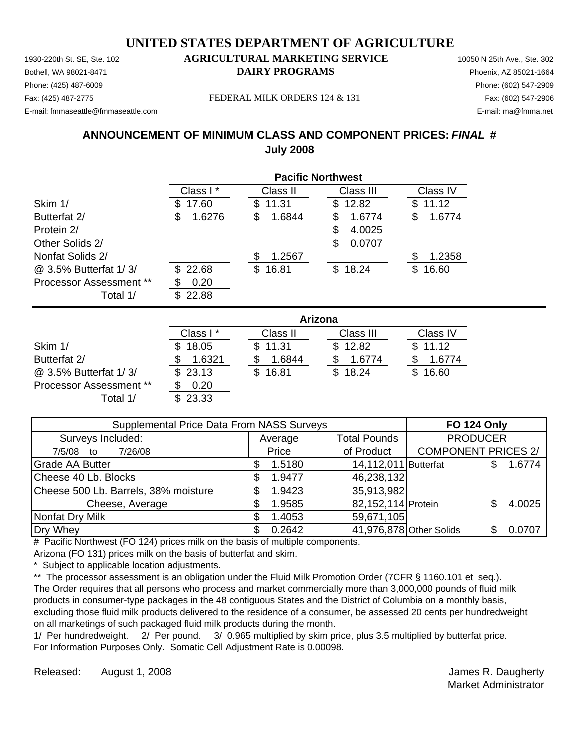Phone: (425) 487-6009 Phone: (602) 547-2909 E-mail: fmmaseattle@fmmaseattle.com E-mail: ma@fmma.net

#### 1930-220th St. SE, Ste. 102 **AGRICULTURAL MARKETING SERVICE** 10050 N 25th Ave., Ste. 302 Bothell, WA 98021-8471 **DAIRY PROGRAMS** Phoenix, AZ 85021-1664

Fax: (425) 487-2775 FEDERAL MILK ORDERS 124 & 131 Fax: (602) 547-2906

#### **ANNOUNCEMENT OF MINIMUM CLASS AND COMPONENT PRICES:** *FINAL* **# July 2008**

|                         | <b>Pacific Northwest</b> |              |               |              |  |  |
|-------------------------|--------------------------|--------------|---------------|--------------|--|--|
|                         | Class I*                 | Class II     | Class III     | Class IV     |  |  |
| Skim 1/                 | 17.60<br>S.              | 11.31<br>\$. | \$12.82       | 11.12<br>S   |  |  |
| Butterfat 2/            | 1.6276<br>S              | 1.6844<br>\$ | 1.6774<br>S   | 1.6774<br>\$ |  |  |
| Protein 2/              |                          |              | 4.0025<br>\$. |              |  |  |
| Other Solids 2/         |                          |              | 0.0707<br>S   |              |  |  |
| Nonfat Solids 2/        |                          | 1.2567       |               | S<br>1.2358  |  |  |
| @ 3.5% Butterfat 1/3/   | \$22.68                  | 16.81<br>\$. | \$18.24       | \$.<br>16.60 |  |  |
| Processor Assessment ** | 0.20                     |              |               |              |  |  |
| Total 1/                | 22.88                    |              |               |              |  |  |

|                                | Arizona  |          |           |          |  |
|--------------------------------|----------|----------|-----------|----------|--|
|                                | Class I* | Class II | Class III | Class IV |  |
| Skim 1/                        | \$18.05  | \$11.31  | \$12.82   | \$11.12  |  |
| Butterfat 2/                   | 1.6321   | 1.6844   | 1.6774    | 1.6774   |  |
| @ 3.5% Butterfat 1/3/          | \$23.13  | 16.81    | \$18.24   | 16.60    |  |
| <b>Processor Assessment **</b> | 0.20     |          |           |          |  |
| Total 1/                       | 23.33    |          |           |          |  |

| Supplemental Price Data From NASS Surveys |    |         |                         | <b>FO 124 Only</b>         |        |
|-------------------------------------------|----|---------|-------------------------|----------------------------|--------|
| Surveys Included:                         |    | Average | <b>Total Pounds</b>     | <b>PRODUCER</b>            |        |
| 7/26/08<br>7/5/08 to                      |    | Price   | of Product              | <b>COMPONENT PRICES 2/</b> |        |
| <b>Grade AA Butter</b>                    |    | 1.5180  | 14,112,011 Butterfat    |                            | 1.6774 |
| Cheese 40 Lb. Blocks                      | Ж, | 1.9477  | 46,238,132              |                            |        |
| Cheese 500 Lb. Barrels, 38% moisture      |    | 1.9423  | 35,913,982              |                            |        |
| Cheese, Average                           |    | 1.9585  | 82,152,114 Protein      |                            | 4.0025 |
| Nonfat Dry Milk                           |    | 1.4053  | 59,671,105              |                            |        |
| Dry Whey                                  |    | 0.2642  | 41,976,878 Other Solids |                            | 0.0707 |

# Pacific Northwest (FO 124) prices milk on the basis of multiple components. Arizona (FO 131) prices milk on the basis of butterfat and skim.

Subject to applicable location adjustments.

\*\* The processor assessment is an obligation under the Fluid Milk Promotion Order (7CFR § 1160.101 et seq.). The Order requires that all persons who process and market commercially more than 3,000,000 pounds of fluid milk products in consumer-type packages in the 48 contiguous States and the District of Columbia on a monthly basis, excluding those fluid milk products delivered to the residence of a consumer, be assessed 20 cents per hundredweight on all marketings of such packaged fluid milk products during the month.

1/ Per hundredweight. 2/ Per pound. 3/ 0.965 multiplied by skim price, plus 3.5 multiplied by butterfat price. For Information Purposes Only. Somatic Cell Adjustment Rate is 0.00098.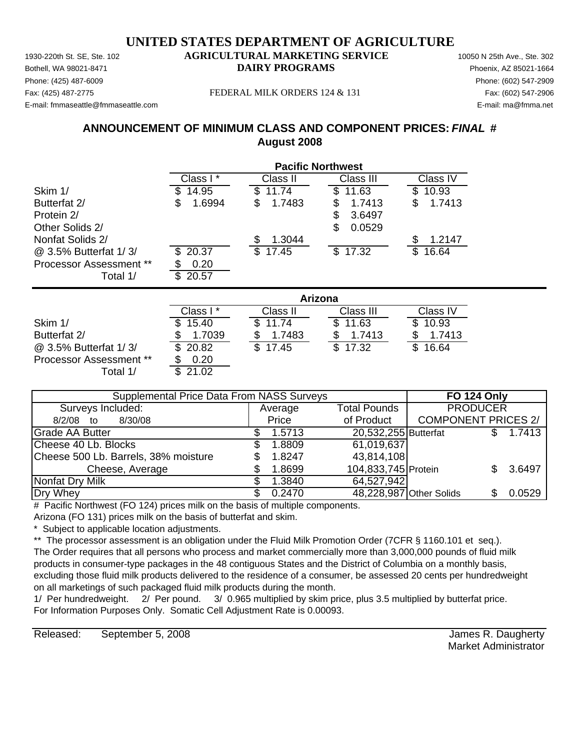#### 1930-220th St. SE, Ste. 102 **AGRICULTURAL MARKETING SERVICE** 10050 N 25th Ave., Ste. 302 Bothell, WA 98021-8471 **DAIRY PROGRAMS** Phoenix, AZ 85021-1664 **UNITED STATES DEPARTMENT OF AGRICULTURE**

Phone: (425) 487-6009 Phone: (602) 547-2909 E-mail: fmmaseattle@fmmaseattle.com E-mail: ma@fmma.net

#### Fax: (425) 487-2775 FEDERAL MILK ORDERS 124 & 131 Fax: (602) 547-2906

#### **ANNOUNCEMENT OF MINIMUM CLASS AND COMPONENT PRICES:** *FINAL* **# August 2008**

|                         |              | <b>Pacific Northwest</b> |                       |              |  |  |
|-------------------------|--------------|--------------------------|-----------------------|--------------|--|--|
|                         | Class I *    | Class II                 | Class III             | Class IV     |  |  |
| Skim 1/                 | 14.95        | 11.74<br>S.              | 11.63<br>\$           | 10.93<br>S   |  |  |
| Butterfat 2/            | 1.6994<br>\$ | 1.7483<br>S              | \$<br>1.7413          | 1.7413<br>\$ |  |  |
| Protein 2/              |              |                          | \$<br>3.6497          |              |  |  |
| Other Solids 2/         |              |                          | \$<br>0.0529          |              |  |  |
| Nonfat Solids 2/        |              | 1.3044                   |                       | 1.2147       |  |  |
| @ 3.5% Butterfat 1/3/   | 20.37        | \$<br>17.45              | $\mathbb{S}$<br>17.32 | 16.64<br>\$  |  |  |
| Processor Assessment ** | 0.20         |                          |                       |              |  |  |
| Total 1/                | 20.57<br>\$  |                          |                       |              |  |  |
|                         |              |                          | Arizona               |              |  |  |
|                         | Class I*     | Class II                 | Class III             | Class IV     |  |  |

|                                | лны и    |          |           |          |  |  |
|--------------------------------|----------|----------|-----------|----------|--|--|
|                                | Class I* | Class II | Class III | Class IV |  |  |
| Skim 1/                        | 15.40    | 11.74    | \$11.63   | \$10.93  |  |  |
| Butterfat 2/                   | 1.7039   | 1.7483   | 1.7413    | 1.7413   |  |  |
| @ 3.5% Butterfat 1/3/          | \$20.82  | \$17.45  | \$17.32   | \$16.64  |  |  |
| <b>Processor Assessment **</b> | 0.20     |          |           |          |  |  |
| Total 1/                       | 21.02    |          |           |          |  |  |

| Supplemental Price Data From NASS Surveys | <b>FO 124 Only</b> |                      |                            |        |
|-------------------------------------------|--------------------|----------------------|----------------------------|--------|
| Surveys Included:                         | Average            | <b>Total Pounds</b>  | <b>PRODUCER</b>            |        |
| 8/30/08<br>$8/2/08$ to                    | Price              | of Product           | <b>COMPONENT PRICES 2/</b> |        |
| <b>Grade AA Butter</b>                    | 1.5713             | 20,532,255 Butterfat |                            | 1.7413 |
| Cheese 40 Lb. Blocks                      | 1.8809             | 61,019,637           |                            |        |
| Cheese 500 Lb. Barrels, 38% moisture      | 1.8247             | 43,814,108           |                            |        |
| Cheese, Average                           | 1.8699             | 104,833,745 Protein  |                            | 3.6497 |
| Nonfat Dry Milk                           | 1.3840             | 64,527,942           |                            |        |
| Dry Whey                                  | 0.2470             |                      | 48,228,987 Other Solids    | 0.0529 |

# Pacific Northwest (FO 124) prices milk on the basis of multiple components.

Arizona (FO 131) prices milk on the basis of butterfat and skim.

Subject to applicable location adjustments.

\*\* The processor assessment is an obligation under the Fluid Milk Promotion Order (7CFR § 1160.101 et seq.). The Order requires that all persons who process and market commercially more than 3,000,000 pounds of fluid milk products in consumer-type packages in the 48 contiguous States and the District of Columbia on a monthly basis, excluding those fluid milk products delivered to the residence of a consumer, be assessed 20 cents per hundredweight on all marketings of such packaged fluid milk products during the month.

1/ Per hundredweight. 2/ Per pound. 3/ 0.965 multiplied by skim price, plus 3.5 multiplied by butterfat price. For Information Purposes Only. Somatic Cell Adjustment Rate is 0.00093.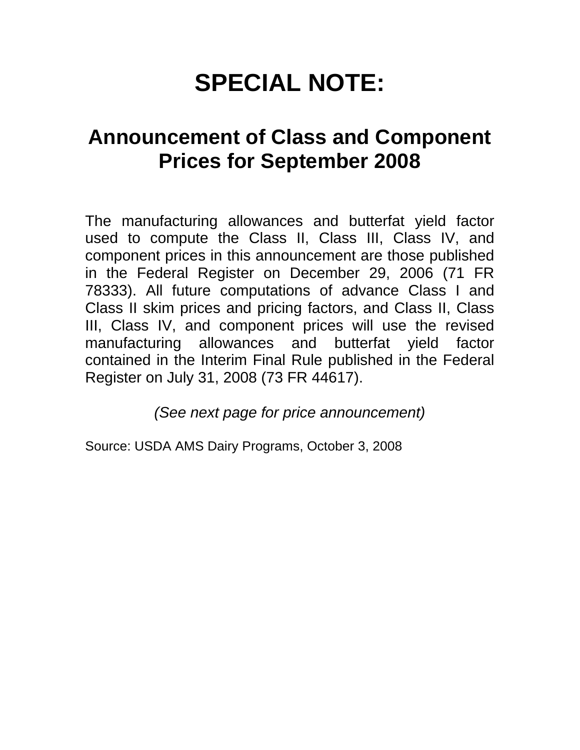# **SPECIAL NOTE:**

# **Announcement of Class and Component Prices for September 2008**

The manufacturing allowances and butterfat yield factor used to compute the Class II, Class III, Class IV, and component prices in this announcement are those published in the Federal Register on December 29, 2006 (71 FR 78333). All future computations of advance Class I and Class II skim prices and pricing factors, and Class II, Class III, Class IV, and component prices will use the revised manufacturing allowances and butterfat yield factor contained in the Interim Final Rule published in the Federal Register on July 31, 2008 (73 FR 44617).

*(See next page for price announcement)*

Source: USDA AMS Dairy Programs, October 3, 2008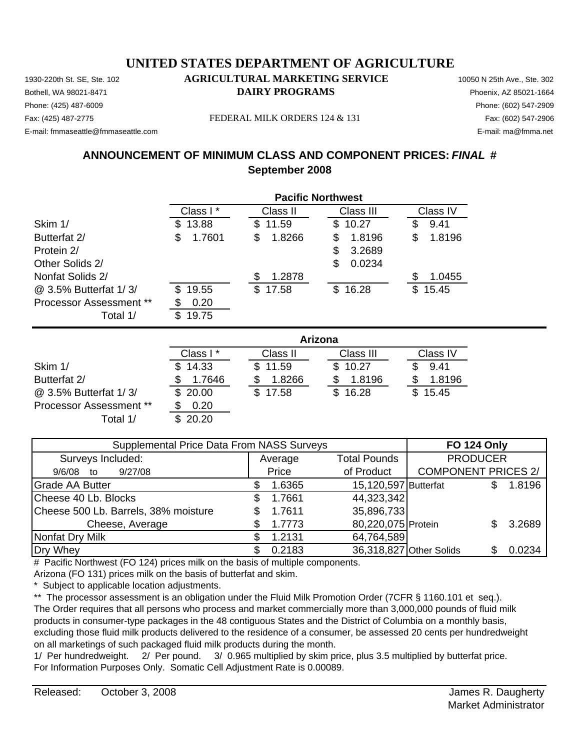Phone: (425) 487-6009 Phone: (602) 547-2909 E-mail: fmmaseattle@fmmaseattle.com E-mail: ma@fmma.net

#### 1930-220th St. SE, Ste. 102 **AGRICULTURAL MARKETING SERVICE** 10050 N 25th Ave., Ste. 302 Bothell, WA 98021-8471 **DAIRY PROGRAMS** Phoenix, AZ 85021-1664

#### Fax: (425) 487-2775 FEDERAL MILK ORDERS 124 & 131 Fax: (602) 547-2906

#### **ANNOUNCEMENT OF MINIMUM CLASS AND COMPONENT PRICES:** *FINAL* **# September 2008**

|                                | <b>Pacific Northwest</b> |              |              |                       |  |
|--------------------------------|--------------------------|--------------|--------------|-----------------------|--|
|                                | Class I *                | Class II     | Class III    | Class IV              |  |
| Skim 1/                        | 13.88<br>S               | 11.59<br>\$  | 10.27<br>\$  | \$<br>9.41            |  |
| Butterfat 2/                   | 1.7601<br>\$             | \$<br>1.8266 | \$<br>1.8196 | \$<br>1.8196          |  |
| Protein 2/                     |                          |              | \$<br>3.2689 |                       |  |
| Other Solids 2/                |                          |              | \$<br>0.0234 |                       |  |
| Nonfat Solids 2/               |                          | 1.2878<br>S  |              | S<br>1.0455           |  |
| @ 3.5% Butterfat 1/3/          | 19.55<br>\$              | \$17.58      | \$16.28      | $\mathbb{S}$<br>15.45 |  |
| <b>Processor Assessment **</b> | 0.20                     |              |              |                       |  |
| Total 1/                       | 19.75<br>\$              |              |              |                       |  |
|                                |                          |              | Arizona      |                       |  |
|                                | Class I*                 | Class II     | Class III    | Class IV              |  |
| Skim 1/                        | 14.33                    | \$<br>11.59  | \$<br>10.27  | \$<br>9.41            |  |
| Butterfat 2/                   | 1.7646                   | 1.8266<br>\$ | 1.8196<br>\$ | 1.8196<br>\$          |  |
| @ 3.5% Butterfat 1/3/          | \$<br>20.00              | \$<br>17.58  | \$<br>16.28  | \$<br>15.45           |  |

| Supplemental Price Data From NASS Surveys | <b>FO 124 Only</b> |                      |                                   |
|-------------------------------------------|--------------------|----------------------|-----------------------------------|
| Surveys Included:                         | Average            | <b>Total Pounds</b>  | <b>PRODUCER</b>                   |
| 9/27/08<br>$9/6/08$ to                    | Price              | of Product           | <b>COMPONENT PRICES 2/</b>        |
| <b>Grade AA Butter</b>                    | 1.6365             | 15,120,597 Butterfat | 1.8196                            |
| Cheese 40 Lb. Blocks                      | 1.7661<br>\$.      | 44,323,342           |                                   |
| Cheese 500 Lb. Barrels, 38% moisture      | 1.7611<br>\$.      | 35,896,733           |                                   |
| Cheese, Average                           | 1.7773             | 80,220,075 Protein   | 3.2689                            |
| Nonfat Dry Milk                           | 1.2131             | 64,764,589           |                                   |
| Dry Whey                                  | 0.2183             |                      | 36,318,827 Other Solids<br>0.0234 |

# Pacific Northwest (FO 124) prices milk on the basis of multiple components.

Arizona (FO 131) prices milk on the basis of butterfat and skim.

\* Subject to applicable location adjustments.

Processor Assessment \*\* \$ 0.20 Total  $1/$ 

\*\* The processor assessment is an obligation under the Fluid Milk Promotion Order (7CFR § 1160.101 et seq.). The Order requires that all persons who process and market commercially more than 3,000,000 pounds of fluid milk products in consumer-type packages in the 48 contiguous States and the District of Columbia on a monthly basis, excluding those fluid milk products delivered to the residence of a consumer, be assessed 20 cents per hundredweight on all marketings of such packaged fluid milk products during the month.

1/ Per hundredweight. 2/ Per pound. 3/ 0.965 multiplied by skim price, plus 3.5 multiplied by butterfat price. For Information Purposes Only. Somatic Cell Adjustment Rate is 0.00089.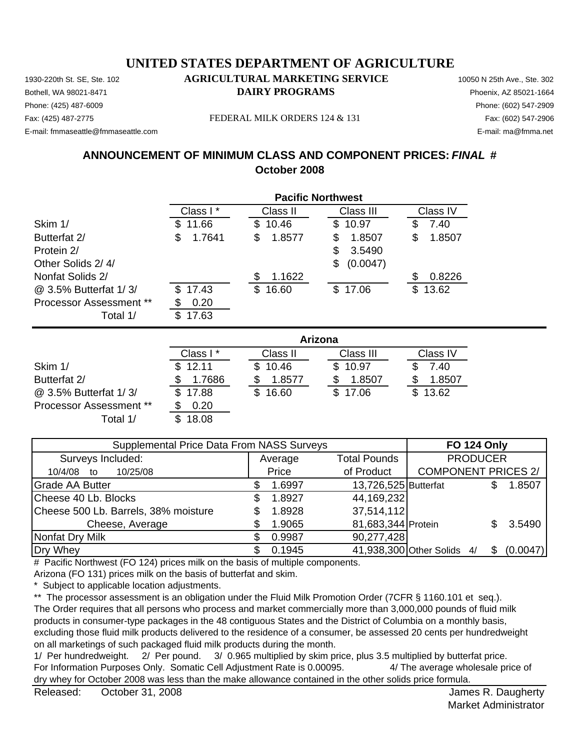Phone: (425) 487-6009 Phone: (602) 547-2909 E-mail: fmmaseattle@fmmaseattle.com E-mail: ma@fmma.net

#### 1930-220th St. SE, Ste. 102 **AGRICULTURAL MARKETING SERVICE** 10050 N 25th Ave., Ste. 302 Bothell, WA 98021-8471 **DAIRY PROGRAMS** Phoenix, AZ 85021-1664

#### Fax: (425) 487-2775 FEDERAL MILK ORDERS 124 & 131 Fax: (602) 547-2906

#### **ANNOUNCEMENT OF MINIMUM CLASS AND COMPONENT PRICES:** *FINAL* **# October 2008**

|                         |              |              | <b>Pacific Northwest</b> |              |
|-------------------------|--------------|--------------|--------------------------|--------------|
|                         | Class I*     | Class II     | Class III                | Class IV     |
| Skim 1/                 | 11.66<br>\$  | 10.46<br>\$  | 10.97<br>\$              | 7.40<br>S    |
| Butterfat 2/            | \$<br>1.7641 | \$<br>1.8577 | 1.8507<br>\$             | \$<br>1.8507 |
| Protein 2/              |              |              | \$<br>3.5490             |              |
| Other Solids 2/4/       |              |              | \$<br>(0.0047)           |              |
| Nonfat Solids 2/        |              | \$<br>1.1622 |                          | 0.8226<br>S  |
| @ 3.5% Butterfat 1/3/   | 17.43<br>S   | \$<br>16.60  | \$17.06                  | 13.62<br>\$  |
| Processor Assessment ** | 0.20         |              |                          |              |
| Total 1/                | \$<br>17.63  |              |                          |              |
|                         |              |              | Arizona                  |              |
|                         | Class I*     | Class II     | Class III                | Class IV     |
| Skim 1/                 | 12.11<br>S.  | 10.46<br>\$. | \$10.97                  | 7.40         |
|                         |              |              |                          |              |

Butterfat 2/ **\$ 1.7686** \$ 1.8577 \$ 1.8507  $\overline{\textcircled{a}}$  3.5% Butterfat 1/3/  $\overline{\textcircled{s}}$  17.88  $\overline{\textcircled{s}}$  16.60  $\overline{\textcircled{s}}$  17.06 Processor Assessment \*\* \$ 0.20 Total 1/ \$ 18.08

| <b>Supplemental Price Data From NASS Surveys</b> | <b>FO 124 Only</b> |                      |                            |          |
|--------------------------------------------------|--------------------|----------------------|----------------------------|----------|
| Surveys Included:                                | Average            | <b>Total Pounds</b>  | <b>PRODUCER</b>            |          |
| 10/25/08<br>10/4/08<br>to                        | Price              | of Product           | <b>COMPONENT PRICES 2/</b> |          |
| <b>Grade AA Butter</b>                           | 1.6997             | 13,726,525 Butterfat |                            | 1.8507   |
| Cheese 40 Lb. Blocks                             | 1.8927             | 44, 169, 232         |                            |          |
| Cheese 500 Lb. Barrels, 38% moisture             | 1.8928             | 37,514,112           |                            |          |
| Cheese, Average                                  | 1.9065             | 81,683,344 Protein   |                            | 3.5490   |
| Nonfat Dry Milk                                  | 0.9987             | 90,277,428           |                            |          |
| Dry Whey                                         | 0.1945             |                      | 41,938,300 Other Solids 4/ | (0.0047) |

# Pacific Northwest (FO 124) prices milk on the basis of multiple components.

Arizona (FO 131) prices milk on the basis of butterfat and skim.

\* Subject to applicable location adjustments.

\*\* The processor assessment is an obligation under the Fluid Milk Promotion Order (7CFR § 1160.101 et seq.). The Order requires that all persons who process and market commercially more than 3,000,000 pounds of fluid milk products in consumer-type packages in the 48 contiguous States and the District of Columbia on a monthly basis, excluding those fluid milk products delivered to the residence of a consumer, be assessed 20 cents per hundredweight on all marketings of such packaged fluid milk products during the month.

1/ Per hundredweight. 2/ Per pound. 3/ 0.965 multiplied by skim price, plus 3.5 multiplied by butterfat price. For Information Purposes Only. Somatic Cell Adjustment Rate is 0.00095. 4/ The average wholesale price of dry whey for October 2008 was less than the make allowance contained in the other solids price formula.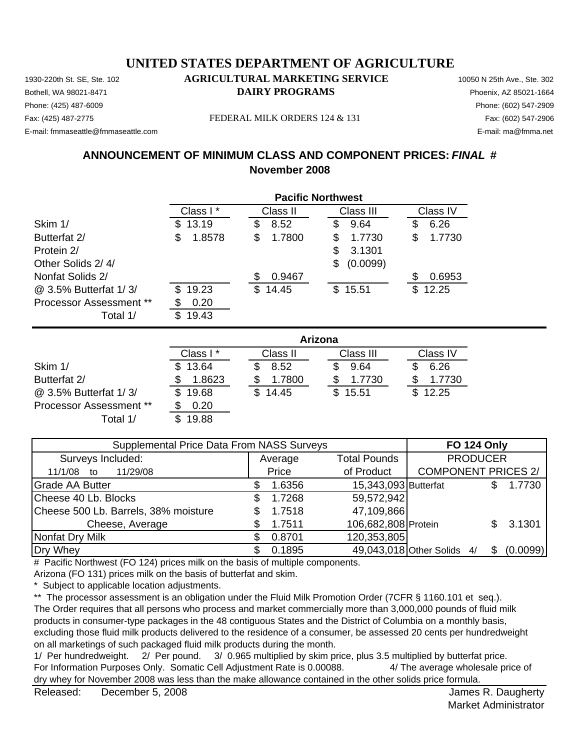Phone: (425) 487-6009 Phone: (602) 547-2909 E-mail: fmmaseattle@fmmaseattle.com E-mail: ma@fmma.net

#### 1930-220th St. SE, Ste. 102 **AGRICULTURAL MARKETING SERVICE** 10050 N 25th Ave., Ste. 302 Bothell, WA 98021-8471 **DAIRY PROGRAMS** Phoenix, AZ 85021-1664

#### Fax: (425) 487-2775 FEDERAL MILK ORDERS 124 & 131 Fax: (602) 547-2906

#### **ANNOUNCEMENT OF MINIMUM CLASS AND COMPONENT PRICES:** *FINAL* **# November 2008**

|                         | <b>Pacific Northwest</b> |              |                |              |
|-------------------------|--------------------------|--------------|----------------|--------------|
|                         | Class I*                 | Class II     | Class III      | Class IV     |
| Skim 1/                 | 13.19<br>\$              | 8.52<br>\$   | 9.64<br>S      | 6.26<br>\$   |
| Butterfat 2/            | 1.8578<br>\$             | \$<br>1.7800 | 1.7730<br>S    | 1.7730<br>\$ |
| Protein 2/              |                          |              | 3.1301<br>\$   |              |
| Other Solids 2/4/       |                          |              | (0.0099)<br>\$ |              |
| Nonfat Solids 2/        |                          | 0.9467<br>\$ |                | \$<br>0.6953 |
| @ 3.5% Butterfat 1/3/   | 19.23<br>\$              | \$<br>14.45  | \$15.51        | \$<br>12.25  |
| Processor Assessment ** | 0.20                     |              |                |              |
| Total 1/                | \$<br>19.43              |              |                |              |
|                         |                          |              | Arizona        |              |

|                                | , ,, ,,, ,,,, |              |           |          |  |  |
|--------------------------------|---------------|--------------|-----------|----------|--|--|
|                                | Class I*      | Class II     | Class III | Class IV |  |  |
| Skim 1/                        | \$13.64       | 8.52         | 9.64      | 6.26     |  |  |
| Butterfat 2/                   | 1.8623        | 1.7800       | 1.7730    | 1.7730   |  |  |
| @ 3.5% Butterfat 1/3/          | \$19.68       | 14.45<br>\$. | \$15.51   | \$12.25  |  |  |
| <b>Processor Assessment **</b> | 0.20          |              |           |          |  |  |
| Total 1/                       | 19.88         |              |           |          |  |  |

| Supplemental Price Data From NASS Surveys | <b>FO 124 Only</b> |         |                      |                            |          |
|-------------------------------------------|--------------------|---------|----------------------|----------------------------|----------|
| Surveys Included:                         |                    | Average | <b>Total Pounds</b>  | <b>PRODUCER</b>            |          |
| 11/29/08<br>11/1/08 to                    |                    | Price   | of Product           | <b>COMPONENT PRICES 2/</b> |          |
| <b>Grade AA Butter</b>                    |                    | 1.6356  | 15,343,093 Butterfat |                            | 1.7730   |
| Cheese 40 Lb. Blocks                      | S                  | 1.7268  | 59,572,942           |                            |          |
| Cheese 500 Lb. Barrels, 38% moisture      |                    | 1.7518  | 47,109,866           |                            |          |
| Cheese, Average                           |                    | 1.7511  | 106,682,808 Protein  |                            | 3.1301   |
| Nonfat Dry Milk                           |                    | 0.8701  | 120,353,805          |                            |          |
| Dry Whey                                  |                    | 0.1895  |                      | 49,043,018 Other Solids 4/ | (0.0099) |

# Pacific Northwest (FO 124) prices milk on the basis of multiple components.

Arizona (FO 131) prices milk on the basis of butterfat and skim.

\* Subject to applicable location adjustments.

\*\* The processor assessment is an obligation under the Fluid Milk Promotion Order (7CFR § 1160.101 et seq.). The Order requires that all persons who process and market commercially more than 3,000,000 pounds of fluid milk products in consumer-type packages in the 48 contiguous States and the District of Columbia on a monthly basis, excluding those fluid milk products delivered to the residence of a consumer, be assessed 20 cents per hundredweight on all marketings of such packaged fluid milk products during the month.

1/ Per hundredweight. 2/ Per pound. 3/ 0.965 multiplied by skim price, plus 3.5 multiplied by butterfat price. For Information Purposes Only. Somatic Cell Adjustment Rate is 0.00088. 4/ The average wholesale price of dry whey for November 2008 was less than the make allowance contained in the other solids price formula.